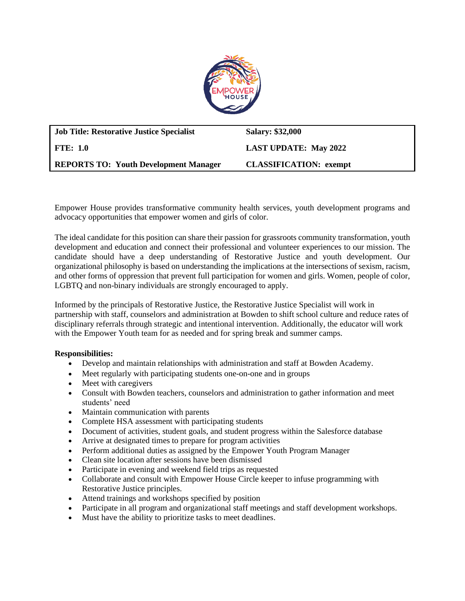

| <b>Job Title: Restorative Justice Specialist</b> | <b>Salary: \$32,000</b>       |
|--------------------------------------------------|-------------------------------|
| FTE: 1.0                                         | <b>LAST UPDATE: May 2022</b>  |
| <b>REPORTS TO: Youth Development Manager</b>     | <b>CLASSIFICATION:</b> exempt |

Empower House provides transformative community health services, youth development programs and advocacy opportunities that empower women and girls of color.

The ideal candidate for this position can share their passion for grassroots community transformation, youth development and education and connect their professional and volunteer experiences to our mission. The candidate should have a deep understanding of Restorative Justice and youth development. Our organizational philosophy is based on understanding the implications at the intersections of sexism, racism, and other forms of oppression that prevent full participation for women and girls. Women, people of color, LGBTQ and non-binary individuals are strongly encouraged to apply.

Informed by the principals of Restorative Justice, the Restorative Justice Specialist will work in partnership with staff, counselors and administration at Bowden to shift school culture and reduce rates of disciplinary referrals through strategic and intentional intervention. Additionally, the educator will work with the Empower Youth team for as needed and for spring break and summer camps.

## **Responsibilities:**

- Develop and maintain relationships with administration and staff at Bowden Academy.
- Meet regularly with participating students one-on-one and in groups
- Meet with caregivers
- Consult with Bowden teachers, counselors and administration to gather information and meet students' need
- Maintain communication with parents
- Complete HSA assessment with participating students
- Document of activities, student goals, and student progress within the Salesforce database
- Arrive at designated times to prepare for program activities
- Perform additional duties as assigned by the Empower Youth Program Manager
- Clean site location after sessions have been dismissed
- Participate in evening and weekend field trips as requested
- Collaborate and consult with Empower House Circle keeper to infuse programming with Restorative Justice principles.
- Attend trainings and workshops specified by position
- Participate in all program and organizational staff meetings and staff development workshops.
- Must have the ability to prioritize tasks to meet deadlines.